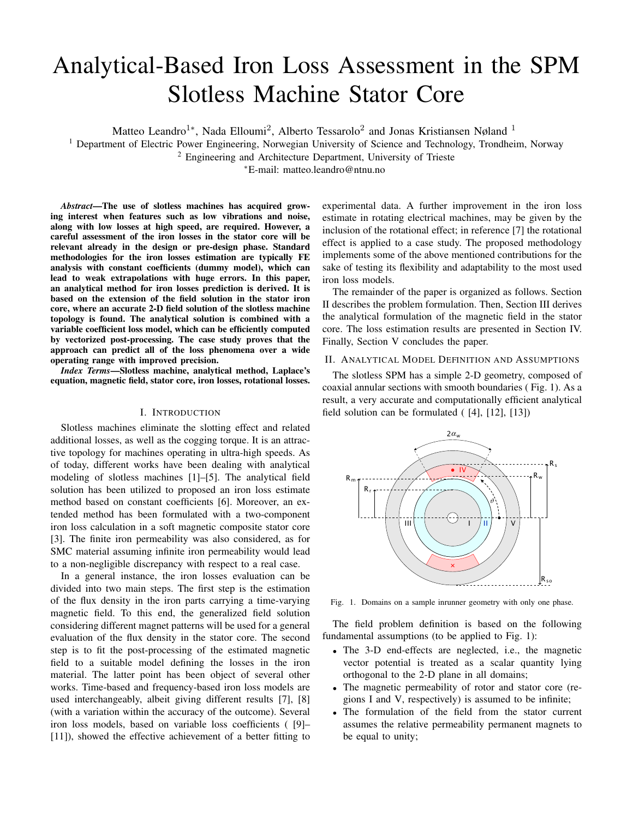# Analytical-Based Iron Loss Assessment in the SPM Slotless Machine Stator Core

Matteo Leandro<sup>1</sup>\*, Nada Elloumi<sup>2</sup>, Alberto Tessarolo<sup>2</sup> and Jonas Kristiansen Nøland<sup>1</sup>

<sup>1</sup> Department of Electric Power Engineering, Norwegian University of Science and Technology, Trondheim, Norway

<sup>2</sup> Engineering and Architecture Department, University of Trieste

<sup>∗</sup>E-mail: matteo.leandro@ntnu.no

*Abstract*—The use of slotless machines has acquired growing interest when features such as low vibrations and noise, along with low losses at high speed, are required. However, a careful assessment of the iron losses in the stator core will be relevant already in the design or pre-design phase. Standard methodologies for the iron losses estimation are typically FE analysis with constant coefficients (dummy model), which can lead to weak extrapolations with huge errors. In this paper, an analytical method for iron losses prediction is derived. It is based on the extension of the field solution in the stator iron core, where an accurate 2-D field solution of the slotless machine topology is found. The analytical solution is combined with a variable coefficient loss model, which can be efficiently computed by vectorized post-processing. The case study proves that the approach can predict all of the loss phenomena over a wide operating range with improved precision.

*Index Terms*—Slotless machine, analytical method, Laplace's equation, magnetic field, stator core, iron losses, rotational losses.

## I. INTRODUCTION

Slotless machines eliminate the slotting effect and related additional losses, as well as the cogging torque. It is an attractive topology for machines operating in ultra-high speeds. As of today, different works have been dealing with analytical modeling of slotless machines [1]–[5]. The analytical field solution has been utilized to proposed an iron loss estimate method based on constant coefficients [6]. Moreover, an extended method has been formulated with a two-component iron loss calculation in a soft magnetic composite stator core [3]. The finite iron permeability was also considered, as for SMC material assuming infinite iron permeability would lead to a non-negligible discrepancy with respect to a real case.

In a general instance, the iron losses evaluation can be divided into two main steps. The first step is the estimation of the flux density in the iron parts carrying a time-varying magnetic field. To this end, the generalized field solution considering different magnet patterns will be used for a general evaluation of the flux density in the stator core. The second step is to fit the post-processing of the estimated magnetic field to a suitable model defining the losses in the iron material. The latter point has been object of several other works. Time-based and frequency-based iron loss models are used interchangeably, albeit giving different results [7], [8] (with a variation within the accuracy of the outcome). Several iron loss models, based on variable loss coefficients ( [9]– [11]), showed the effective achievement of a better fitting to experimental data. A further improvement in the iron loss estimate in rotating electrical machines, may be given by the inclusion of the rotational effect; in reference [7] the rotational effect is applied to a case study. The proposed methodology implements some of the above mentioned contributions for the sake of testing its flexibility and adaptability to the most used iron loss models.

The remainder of the paper is organized as follows. Section II describes the problem formulation. Then, Section III derives the analytical formulation of the magnetic field in the stator core. The loss estimation results are presented in Section IV. Finally, Section V concludes the paper.

## II. ANALYTICAL MODEL DEFINITION AND ASSUMPTIONS

The slotless SPM has a simple 2-D geometry, composed of coaxial annular sections with smooth boundaries ( Fig. 1). As a result, a very accurate and computationally efficient analytical field solution can be formulated ( [4], [12], [13])



Fig. 1. Domains on a sample inrunner geometry with only one phase.

The field problem definition is based on the following fundamental assumptions (to be applied to Fig. 1):

- The 3-D end-effects are neglected, i.e., the magnetic vector potential is treated as a scalar quantity lying orthogonal to the 2-D plane in all domains;
- The magnetic permeability of rotor and stator core (regions I and V, respectively) is assumed to be infinite;
- The formulation of the field from the stator current assumes the relative permeability permanent magnets to be equal to unity;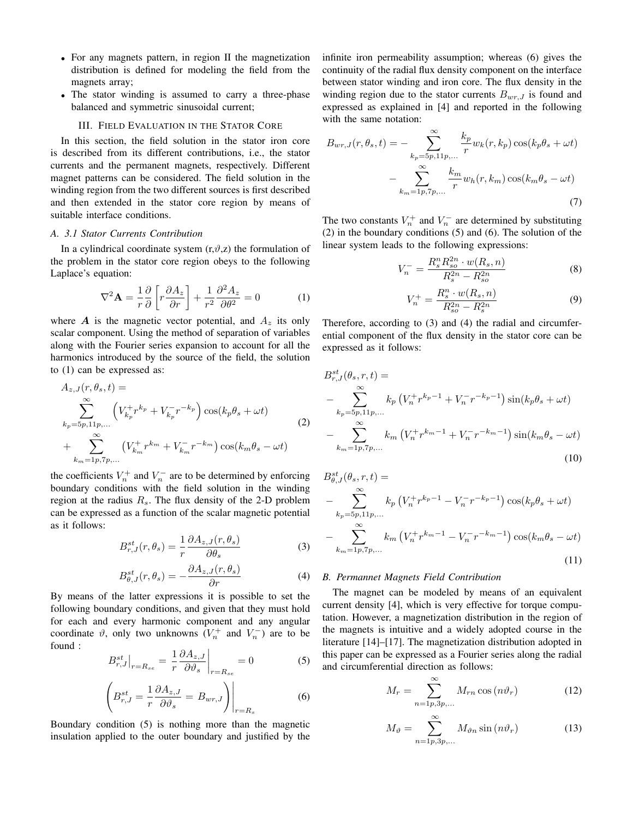- For any magnets pattern, in region II the magnetization distribution is defined for modeling the field from the magnets array;
- The stator winding is assumed to carry a three-phase balanced and symmetric sinusoidal current;

## III. FIELD EVALUATION IN THE STATOR CORE

In this section, the field solution in the stator iron core is described from its different contributions, i.e., the stator currents and the permanent magnets, respectively. Different magnet patterns can be considered. The field solution in the winding region from the two different sources is first described and then extended in the stator core region by means of suitable interface conditions.

#### *A. 3.1 Stator Currents Contribution*

In a cylindrical coordinate system  $(r, \vartheta, z)$  the formulation of the problem in the stator core region obeys to the following Laplace's equation:

$$
\nabla^2 \mathbf{A} = \frac{1}{r} \frac{\partial}{\partial} \left[ r \frac{\partial A_z}{\partial r} \right] + \frac{1}{r^2} \frac{\partial^2 A_z}{\partial \theta^2} = 0 \tag{1}
$$

where  $\boldsymbol{A}$  is the magnetic vector potential, and  $A_z$  its only scalar component. Using the method of separation of variables along with the Fourier series expansion to account for all the harmonics introduced by the source of the field, the solution to (1) can be expressed as:

$$
A_{z,J}(r, \theta_s, t) =
$$
  
\n
$$
\sum_{k_p=5p,11p,...}^{\infty} \left( V_{k_p}^+ r^{k_p} + V_{k_p}^- r^{-k_p} \right) \cos(k_p \theta_s + \omega t)
$$
  
\n
$$
+ \sum_{k_m=1p,7p,...}^{\infty} \left( V_{k_m}^+ r^{k_m} + V_{k_m}^- r^{-k_m} \right) \cos(k_m \theta_s - \omega t)
$$
\n(2)

the coefficients  $V_n^+$  and  $V_n^-$  are to be determined by enforcing boundary conditions with the field solution in the winding region at the radius  $R_s$ . The flux density of the 2-D problem can be expressed as a function of the scalar magnetic potential as it follows:

$$
B_{r,J}^{st}(r,\theta_s) = \frac{1}{r} \frac{\partial A_{z,J}(r,\theta_s)}{\partial \theta_s}
$$
 (3)

$$
B_{\theta,J}^{st}(r,\theta_s) = -\frac{\partial A_{z,J}(r,\theta_s)}{\partial r}
$$
 (4)

By means of the latter expressions it is possible to set the following boundary conditions, and given that they must hold for each and every harmonic component and any angular coordinate  $\vartheta$ , only two unknowns  $(V_n^+$  and  $V_n^-)$  are to be found :

$$
B_{r,J}^{st}\big|_{r=R_{se}} = \frac{1}{r} \frac{\partial A_{z,J}}{\partial \vartheta_s}\bigg|_{r=R_{se}} = 0 \tag{5}
$$

$$
\left(B_{r,J}^{st} = \frac{1}{r} \frac{\partial A_{z,J}}{\partial \vartheta_s} = B_{wr,J}\right)\Big|_{r=R_s}
$$
 (6)

Boundary condition (5) is nothing more than the magnetic insulation applied to the outer boundary and justified by the infinite iron permeability assumption; whereas (6) gives the continuity of the radial flux density component on the interface between stator winding and iron core. The flux density in the winding region due to the stator currents  $B_{wr,J}$  is found and expressed as explained in [4] and reported in the following with the same notation:

$$
B_{wr,J}(r,\theta_s,t) = -\sum_{k_p=5p,11p,\dots}^{\infty} \frac{k_p}{r} w_k(r,k_p) \cos(k_p \theta_s + \omega t)
$$

$$
-\sum_{k_m=1p,7p,\dots}^{\infty} \frac{k_m}{r} w_h(r,k_m) \cos(k_m \theta_s - \omega t)
$$
(7)

The two constants  $V_n^+$  and  $V_n^-$  are determined by substituting (2) in the boundary conditions (5) and (6). The solution of the linear system leads to the following expressions:

$$
V_n^- = \frac{R_s^n R_{so}^{2n} \cdot w(R_s, n)}{R_s^{2n} - R_{so}^{2n}}
$$
(8)

$$
V_n^+ = \frac{R_s^n \cdot w(R_s, n)}{R_{so}^2 - R_s^{2n}} \tag{9}
$$

Therefore, according to (3) and (4) the radial and circumferential component of the flux density in the stator core can be expressed as it follows:

$$
B_{r,J}^{st}(\theta_s, r, t) =
$$
  
\n
$$
- \sum_{k_p=5p,11p,...}^{\infty} k_p \left( V_n^+ r^{k_p-1} + V_n^- r^{-k_p-1} \right) \sin(k_p \theta_s + \omega t)
$$
  
\n
$$
- \sum_{k_m=1p,7p,...}^{\infty} k_m \left( V_n^+ r^{k_m-1} + V_n^- r^{-k_m-1} \right) \sin(k_m \theta_s - \omega t)
$$
  
\n(10)

$$
B_{\theta,J}^{st}(\theta_s, r, t) =
$$
  
- 
$$
\sum_{k_p=5p,11p,...}^{\infty} k_p \left( V_n^+ r^{k_p-1} - V_n^- r^{-k_p-1} \right) \cos(k_p \theta_s + \omega t)
$$
  
- 
$$
\sum_{k_m=1p,7p,...}^{\infty} k_m \left( V_n^+ r^{k_m-1} - V_n^- r^{-k_m-1} \right) \cos(k_m \theta_s - \omega t)
$$
  
(11)

#### *B. Permannet Magnets Field Contribution*

The magnet can be modeled by means of an equivalent current density [4], which is very effective for torque computation. However, a magnetization distribution in the region of the magnets is intuitive and a widely adopted course in the literature [14]–[17]. The magnetization distribution adopted in this paper can be expressed as a Fourier series along the radial and circumferential direction as follows:

$$
M_r = \sum_{n=1p,3p,\dots}^{\infty} M_{rn} \cos(n\vartheta_r)
$$
 (12)

$$
M_{\vartheta} = \sum_{n=1p,3p,\dots}^{\infty} M_{\vartheta n} \sin(n\vartheta_r)
$$
 (13)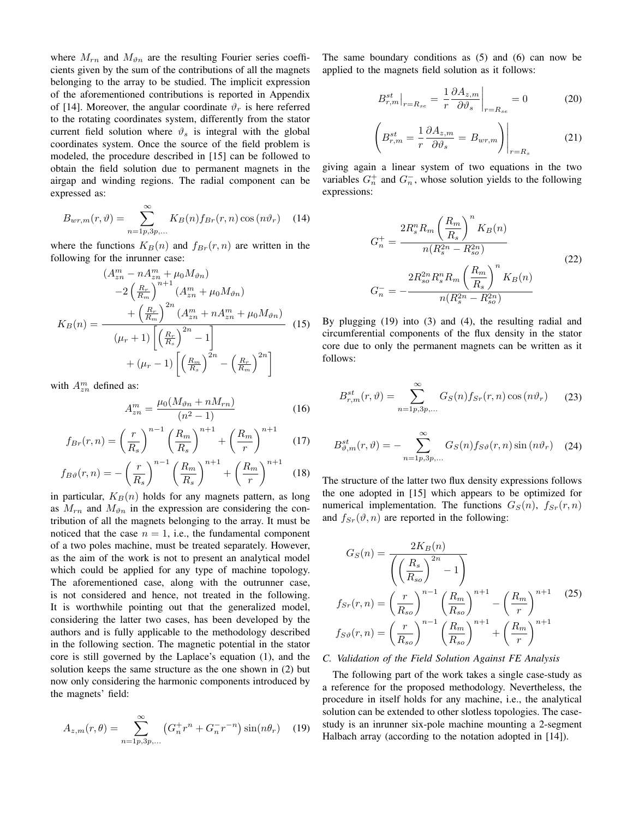where  $M_{rn}$  and  $M_{\vartheta n}$  are the resulting Fourier series coefficients given by the sum of the contributions of all the magnets belonging to the array to be studied. The implicit expression of the aforementioned contributions is reported in Appendix of [14]. Moreover, the angular coordinate  $\vartheta_r$  is here referred to the rotating coordinates system, differently from the stator current field solution where  $\vartheta_s$  is integral with the global coordinates system. Once the source of the field problem is modeled, the procedure described in [15] can be followed to obtain the field solution due to permanent magnets in the airgap and winding regions. The radial component can be expressed as:

$$
B_{wr,m}(r,\vartheta) = \sum_{n=1p,3p,\dots}^{\infty} K_B(n) f_{Br}(r,n) \cos(n\vartheta_r) \quad (14)
$$

where the functions  $K_B(n)$  and  $f_{Br}(r, n)$  are written in the following for the inrunner case:

$$
(A_{zn}^m - nA_{zn}^m + \mu_0 M_{\vartheta n})
$$
  
\n
$$
-2\left(\frac{R_r}{R_m}\right)^{n+1} (A_{zn}^m + \mu_0 M_{\vartheta n})
$$
  
\n
$$
K_B(n) = \frac{+\left(\frac{R_r}{R_m}\right)^{2n} (A_{zn}^m + nA_{zn}^m + \mu_0 M_{\vartheta n})}{(\mu_r + 1)\left[\left(\frac{R_r}{R_s}\right)^{2n} - 1\right]}
$$
  
\n
$$
+ (\mu_r - 1)\left[\left(\frac{R_m}{R_s}\right)^{2n} - \left(\frac{R_r}{R_m}\right)^{2n}\right]
$$
\n(15)

with  $A_{zn}^m$  defined as:

$$
A_{zn}^m = \frac{\mu_0 (M_{\vartheta n} + nM_{rn})}{(n^2 - 1)}
$$
 (16)

$$
f_{Br}(r,n) = \left(\frac{r}{R_s}\right)^{n-1} \left(\frac{R_m}{R_s}\right)^{n+1} + \left(\frac{R_m}{r}\right)^{n+1}
$$
 (17)

$$
f_{B\vartheta}(r,n) = -\left(\frac{r}{R_s}\right)^{n-1} \left(\frac{R_m}{R_s}\right)^{n+1} + \left(\frac{R_m}{r}\right)^{n+1} \quad (18)
$$

in particular,  $K_B(n)$  holds for any magnets pattern, as long as  $M_{rn}$  and  $M_{\vartheta n}$  in the expression are considering the contribution of all the magnets belonging to the array. It must be noticed that the case  $n = 1$ , i.e., the fundamental component of a two poles machine, must be treated separately. However, as the aim of the work is not to present an analytical model which could be applied for any type of machine topology. The aforementioned case, along with the outrunner case, is not considered and hence, not treated in the following. It is worthwhile pointing out that the generalized model, considering the latter two cases, has been developed by the authors and is fully applicable to the methodology described in the following section. The magnetic potential in the stator core is still governed by the Laplace's equation (1), and the solution keeps the same structure as the one shown in (2) but now only considering the harmonic components introduced by the magnets' field:

$$
A_{z,m}(r,\theta) = \sum_{n=1p,3p,...}^{\infty} \left( G_n^+ r^n + G_n^- r^{-n} \right) \sin(n\theta_r) \quad (19)
$$

The same boundary conditions as (5) and (6) can now be applied to the magnets field solution as it follows:

$$
B_{r,m}^{st}\big|_{r=R_{se}} = \frac{1}{r} \frac{\partial A_{z,m}}{\partial \vartheta_s}\bigg|_{r=R_{se}} = 0 \tag{20}
$$

$$
\left(B_{r,m}^{st} = \frac{1}{r} \frac{\partial A_{z,m}}{\partial \vartheta_s} = B_{wr,m}\right)\Big|_{r=R_s}
$$
 (21)

giving again a linear system of two equations in the two variables  $G_n^+$  and  $G_n^-$ , whose solution yields to the following expressions:

$$
G_{n}^{+} = \frac{2R_{s}^{n}R_{m}\left(\frac{R_{m}}{R_{s}}\right)^{n}K_{B}(n)}{n(R_{s}^{2n} - R_{s0}^{2n})}
$$
\n
$$
G_{n}^{-} = -\frac{2R_{so}^{2n}R_{s}^{n}R_{m}\left(\frac{R_{m}}{R_{s}}\right)^{n}K_{B}(n)}{n(R_{s}^{2n} - R_{s0}^{2n})}
$$
\n(22)

By plugging (19) into (3) and (4), the resulting radial and circumferential components of the flux density in the stator core due to only the permanent magnets can be written as it follows:

$$
B_{r,m}^{st}(r,\vartheta) = \sum_{n=1p,3p,\dots}^{\infty} G_S(n) f_{Sr}(r,n) \cos(n\vartheta_r)
$$
 (23)

$$
B_{\vartheta,m}^{st}(r,\vartheta) = -\sum_{n=1p,3p,\dots}^{\infty} G_S(n) f_{S\vartheta}(r,n) \sin(n\vartheta_r) \quad (24)
$$

The structure of the latter two flux density expressions follows the one adopted in [15] which appears to be optimized for numerical implementation. The functions  $G_S(n)$ ,  $f_{Sr}(r, n)$ and  $f_{Sr}(\vartheta, n)$  are reported in the following:

$$
G_S(n) = \frac{2K_B(n)}{\left(\left(\frac{R_s}{R_{so}}\right)^{2n} - 1\right)}
$$
  

$$
f_{Sr}(r,n) = \left(\frac{r}{R_{so}}\right)^{n-1} \left(\frac{R_m}{R_{so}}\right)^{n+1} - \left(\frac{R_m}{r}\right)^{n+1}
$$
  

$$
f_{S\vartheta}(r,n) = \left(\frac{r}{R_{so}}\right)^{n-1} \left(\frac{R_m}{R_{so}}\right)^{n+1} + \left(\frac{R_m}{r}\right)^{n+1}
$$
 (25)

## *C. Validation of the Field Solution Against FE Analysis*

The following part of the work takes a single case-study as a reference for the proposed methodology. Nevertheless, the procedure in itself holds for any machine, i.e., the analytical solution can be extended to other slotless topologies. The casestudy is an inrunner six-pole machine mounting a 2-segment Halbach array (according to the notation adopted in [14]).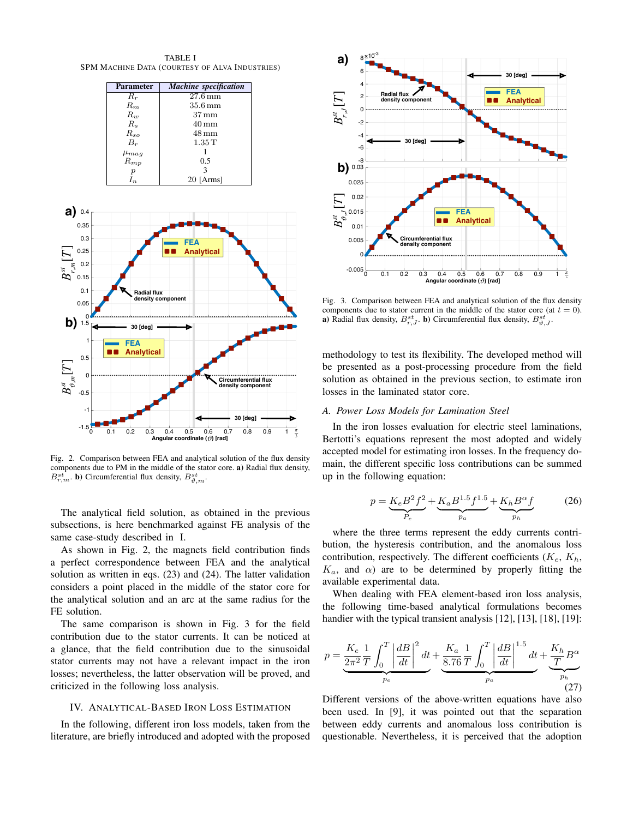TABLE I SPM MACHINE DATA (COURTESY OF ALVA INDUSTRIES)



Fig. 2. Comparison between FEA and analytical solution of the flux density components due to PM in the middle of the stator core. a) Radial flux density,  $B^{st}_{r,m}$ . **b**) Circumferential flux density,  $B^{st}_{\vartheta,m}$ .

The analytical field solution, as obtained in the previous subsections, is here benchmarked against FE analysis of the same case-study described in I.

As shown in Fig. 2, the magnets field contribution finds a perfect correspondence between FEA and the analytical solution as written in eqs. (23) and (24). The latter validation considers a point placed in the middle of the stator core for the analytical solution and an arc at the same radius for the FE solution.

The same comparison is shown in Fig. 3 for the field contribution due to the stator currents. It can be noticed at a glance, that the field contribution due to the sinusoidal stator currents may not have a relevant impact in the iron losses; nevertheless, the latter observation will be proved, and criticized in the following loss analysis.

## IV. ANALYTICAL-BASED IRON LOSS ESTIMATION

In the following, different iron loss models, taken from the literature, are briefly introduced and adopted with the proposed



Fig. 3. Comparison between FEA and analytical solution of the flux density components due to stator current in the middle of the stator core (at  $t = 0$ ). **a**) Radial flux density,  $B^{st}_{r,J}$ . **b**) Circumferential flux density,  $B^{st}_{\vartheta,J}$ .

methodology to test its flexibility. The developed method will be presented as a post-processing procedure from the field solution as obtained in the previous section, to estimate iron losses in the laminated stator core.

## *A. Power Loss Models for Lamination Steel*

In the iron losses evaluation for electric steel laminations, Bertotti's equations represent the most adopted and widely accepted model for estimating iron losses. In the frequency domain, the different specific loss contributions can be summed up in the following equation:

$$
p = \underbrace{K_e B^2 f^2}_{P_e} + \underbrace{K_a B^{1.5} f^{1.5}}_{p_a} + \underbrace{K_h B^\alpha f}_{p_h} \tag{26}
$$

where the three terms represent the eddy currents contribution, the hysteresis contribution, and the anomalous loss contribution, respectively. The different coefficients  $(K_e, K_h,$  $K_a$ , and  $\alpha$ ) are to be determined by properly fitting the available experimental data.

When dealing with FEA element-based iron loss analysis, the following time-based analytical formulations becomes handier with the typical transient analysis [12], [13], [18], [19]:

$$
p = \underbrace{\frac{K_e}{2\pi^2} \frac{1}{T} \int_0^T \left| \frac{dB}{dt} \right|^2 dt}_{p_e} + \underbrace{\frac{K_a}{8.76} \frac{1}{T} \int_0^T \left| \frac{dB}{dt} \right|^{1.5} dt}_{p_a} + \underbrace{\frac{K_h}{T} B^{\alpha}}_{p_h} \tag{27}
$$

Different versions of the above-written equations have also been used. In [9], it was pointed out that the separation between eddy currents and anomalous loss contribution is questionable. Nevertheless, it is perceived that the adoption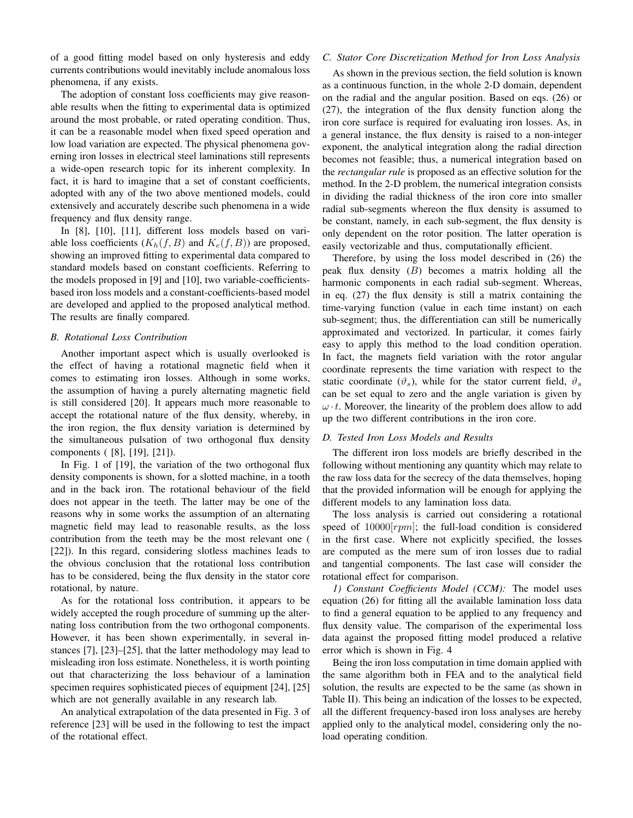of a good fitting model based on only hysteresis and eddy currents contributions would inevitably include anomalous loss phenomena, if any exists.

The adoption of constant loss coefficients may give reasonable results when the fitting to experimental data is optimized around the most probable, or rated operating condition. Thus, it can be a reasonable model when fixed speed operation and low load variation are expected. The physical phenomena governing iron losses in electrical steel laminations still represents a wide-open research topic for its inherent complexity. In fact, it is hard to imagine that a set of constant coefficients, adopted with any of the two above mentioned models, could extensively and accurately describe such phenomena in a wide frequency and flux density range.

In [8], [10], [11], different loss models based on variable loss coefficients  $(K_h(f, B))$  and  $K_e(f, B)$  are proposed, showing an improved fitting to experimental data compared to standard models based on constant coefficients. Referring to the models proposed in [9] and [10], two variable-coefficientsbased iron loss models and a constant-coefficients-based model are developed and applied to the proposed analytical method. The results are finally compared.

## *B. Rotational Loss Contribution*

Another important aspect which is usually overlooked is the effect of having a rotational magnetic field when it comes to estimating iron losses. Although in some works, the assumption of having a purely alternating magnetic field is still considered [20]. It appears much more reasonable to accept the rotational nature of the flux density, whereby, in the iron region, the flux density variation is determined by the simultaneous pulsation of two orthogonal flux density components ( [8], [19], [21]).

In Fig. 1 of [19], the variation of the two orthogonal flux density components is shown, for a slotted machine, in a tooth and in the back iron. The rotational behaviour of the field does not appear in the teeth. The latter may be one of the reasons why in some works the assumption of an alternating magnetic field may lead to reasonable results, as the loss contribution from the teeth may be the most relevant one ( [22]). In this regard, considering slotless machines leads to the obvious conclusion that the rotational loss contribution has to be considered, being the flux density in the stator core rotational, by nature.

As for the rotational loss contribution, it appears to be widely accepted the rough procedure of summing up the alternating loss contribution from the two orthogonal components. However, it has been shown experimentally, in several instances [7], [23]–[25], that the latter methodology may lead to misleading iron loss estimate. Nonetheless, it is worth pointing out that characterizing the loss behaviour of a lamination specimen requires sophisticated pieces of equipment [24], [25] which are not generally available in any research lab.

An analytical extrapolation of the data presented in Fig. 3 of reference [23] will be used in the following to test the impact of the rotational effect.

# *C. Stator Core Discretization Method for Iron Loss Analysis*

As shown in the previous section, the field solution is known as a continuous function, in the whole 2-D domain, dependent on the radial and the angular position. Based on eqs. (26) or (27), the integration of the flux density function along the iron core surface is required for evaluating iron losses. As, in a general instance, the flux density is raised to a non-integer exponent, the analytical integration along the radial direction becomes not feasible; thus, a numerical integration based on the *rectangular rule* is proposed as an effective solution for the method. In the 2-D problem, the numerical integration consists in dividing the radial thickness of the iron core into smaller radial sub-segments whereon the flux density is assumed to be constant, namely, in each sub-segment, the flux density is only dependent on the rotor position. The latter operation is easily vectorizable and thus, computationally efficient.

Therefore, by using the loss model described in (26) the peak flux density  $(B)$  becomes a matrix holding all the harmonic components in each radial sub-segment. Whereas, in eq. (27) the flux density is still a matrix containing the time-varying function (value in each time instant) on each sub-segment; thus, the differentiation can still be numerically approximated and vectorized. In particular, it comes fairly easy to apply this method to the load condition operation. In fact, the magnets field variation with the rotor angular coordinate represents the time variation with respect to the static coordinate  $(\vartheta_s)$ , while for the stator current field,  $\vartheta_s$ can be set equal to zero and the angle variation is given by  $\omega t$ . Moreover, the linearity of the problem does allow to add up the two different contributions in the iron core.

## *D. Tested Iron Loss Models and Results*

The different iron loss models are briefly described in the following without mentioning any quantity which may relate to the raw loss data for the secrecy of the data themselves, hoping that the provided information will be enough for applying the different models to any lamination loss data.

The loss analysis is carried out considering a rotational speed of  $10000[rpm]$ ; the full-load condition is considered in the first case. Where not explicitly specified, the losses are computed as the mere sum of iron losses due to radial and tangential components. The last case will consider the rotational effect for comparison.

*1) Constant Coefficients Model (CCM):* The model uses equation (26) for fitting all the available lamination loss data to find a general equation to be applied to any frequency and flux density value. The comparison of the experimental loss data against the proposed fitting model produced a relative error which is shown in Fig. 4

Being the iron loss computation in time domain applied with the same algorithm both in FEA and to the analytical field solution, the results are expected to be the same (as shown in Table II). This being an indication of the losses to be expected, all the different frequency-based iron loss analyses are hereby applied only to the analytical model, considering only the noload operating condition.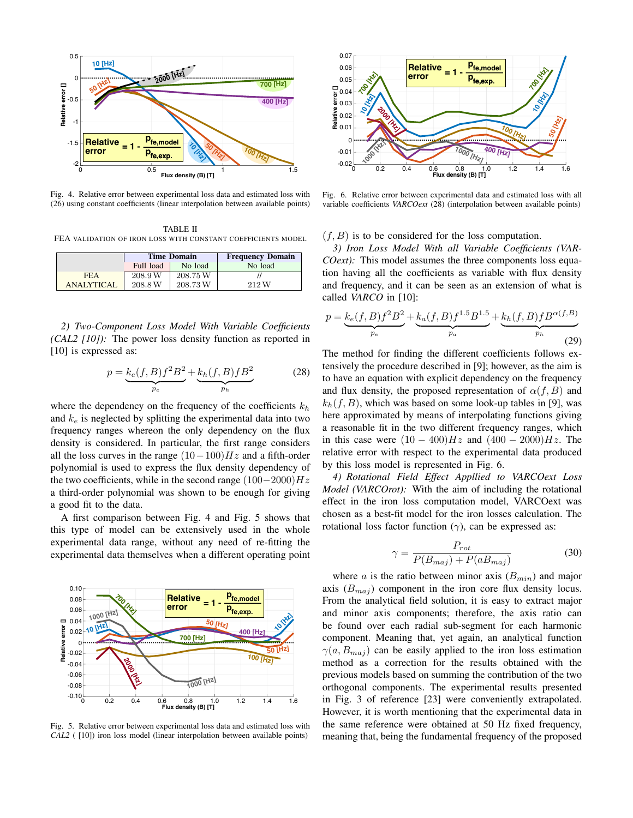

Fig. 4. Relative error between experimental loss data and estimated loss with (26) using constant coefficients (linear interpolation between available points)

TABLE II FEA VALIDATION OF IRON LOSS WITH CONSTANT COEFFICIENTS MODEL

|                   | <b>Time Domain</b> |          | <b>Frequency Domain</b> |  |
|-------------------|--------------------|----------|-------------------------|--|
|                   | Full load          | No load  | No load                 |  |
| <b>FEA</b>        | 208.9 W            | 208.75 W |                         |  |
| <b>ANALYTICAL</b> | 208.8 W            | 208.73W  | 212 W                   |  |

*2) Two-Component Loss Model With Variable Coefficients (CAL2 [10]):* The power loss density function as reported in [10] is expressed as:

$$
p = \underbrace{k_e(f, B)f^2B^2}_{p_e} + \underbrace{k_h(f, B)fB^2}_{p_h}
$$
 (28)

where the dependency on the frequency of the coefficients  $k_h$ and  $k_e$  is neglected by splitting the experimental data into two frequency ranges whereon the only dependency on the flux density is considered. In particular, the first range considers all the loss curves in the range  $(10-100)Hz$  and a fifth-order polynomial is used to express the flux density dependency of the two coefficients, while in the second range  $(100-2000)Hz$ a third-order polynomial was shown to be enough for giving a good fit to the data.

A first comparison between Fig. 4 and Fig. 5 shows that this type of model can be extensively used in the whole experimental data range, without any need of re-fitting the experimental data themselves when a different operating point



Fig. 5. Relative error between experimental loss data and estimated loss with *CAL2* ( [10]) iron loss model (linear interpolation between available points)



Fig. 6. Relative error between experimental data and estimated loss with all variable coefficients *VARCOext* (28) (interpolation between available points)

 $(f, B)$  is to be considered for the loss computation.

*3) Iron Loss Model With all Variable Coefficients (VAR-COext):* This model assumes the three components loss equation having all the coefficients as variable with flux density and frequency, and it can be seen as an extension of what is called *VARCO* in [10]:

$$
p = \underbrace{k_e(f, B)f^2B^2}_{p_e} + \underbrace{k_a(f, B)f^{1.5}B^{1.5}}_{p_a} + \underbrace{k_h(f, B)fB^{\alpha(f, B)}}_{p_h}
$$
(29)

The method for finding the different coefficients follows extensively the procedure described in [9]; however, as the aim is to have an equation with explicit dependency on the frequency and flux density, the proposed representation of  $\alpha(f, B)$  and  $k_h(f, B)$ , which was based on some look-up tables in [9], was here approximated by means of interpolating functions giving a reasonable fit in the two different frequency ranges, which in this case were  $(10 - 400)Hz$  and  $(400 - 2000)Hz$ . The relative error with respect to the experimental data produced by this loss model is represented in Fig. 6.

*4) Rotational Field Effect Appllied to VARCOext Loss Model (VARCOrot):* With the aim of including the rotational effect in the iron loss computation model, VARCOext was chosen as a best-fit model for the iron losses calculation. The rotational loss factor function  $(\gamma)$ , can be expressed as:

$$
\gamma = \frac{P_{rot}}{P(B_{maj}) + P(aB_{maj})}
$$
(30)

where a is the ratio between minor axis  $(B_{min})$  and major axis  $(B_{maj})$  component in the iron core flux density locus. From the analytical field solution, it is easy to extract major and minor axis components; therefore, the axis ratio can be found over each radial sub-segment for each harmonic component. Meaning that, yet again, an analytical function  $\gamma(a, B_{maj})$  can be easily applied to the iron loss estimation method as a correction for the results obtained with the previous models based on summing the contribution of the two orthogonal components. The experimental results presented in Fig. 3 of reference [23] were conveniently extrapolated. However, it is worth mentioning that the experimental data in the same reference were obtained at 50 Hz fixed frequency, meaning that, being the fundamental frequency of the proposed